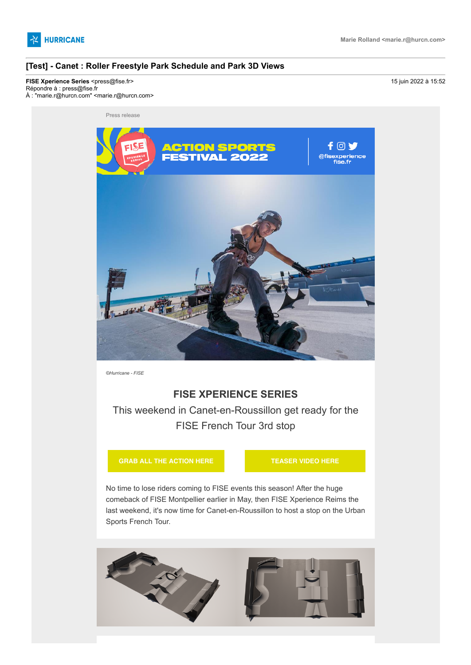

### **[Test] - Canet : Roller Freestyle Park Schedule and Park 3D Views**

**FISE Xperience Series <press@fise.fr>** 2022 à 15:52 Répondre à : press@fise.fr À : "marie.r@hurcn.com" <marie.r@hurcn.com>

Press release



*©Hurricane - FISE*

# **FISE XPERIENCE SERIES**

This weekend in Canet-en-Roussillon get ready for the FISE French Tour 3rd stop

**[GRAB ALL THE ACTION HERE](https://hurricanepresse.cmail19.com/t/t-i-qkryuit-l-j/) [TEASER VIDEO HERE](https://hurricanepresse.cmail19.com/t/t-i-qkryuit-l-t/)**

No time to lose riders coming to FISE events this season! After the huge comeback of FISE Montpellier earlier in May, then FISE Xperience Reims the last weekend, it's now time for Canet-en-Roussillon to host a stop on the Urban Sports French Tour.

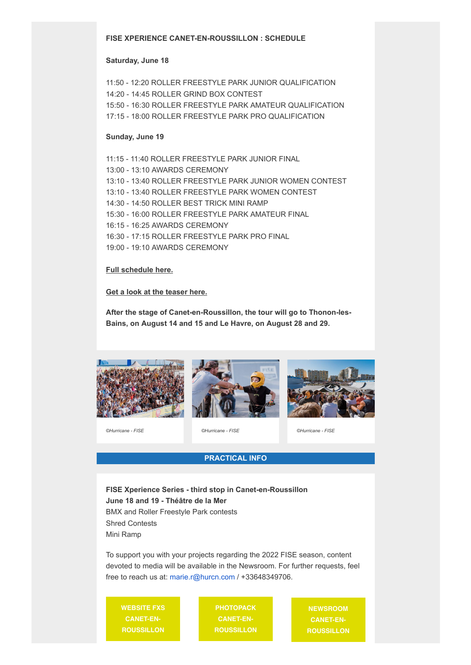#### **FISE XPERIENCE CANET-EN-ROUSSILLON : SCHEDULE**

#### **Saturday, June 18**

11:50 - 12:20 ROLLER FREESTYLE PARK JUNIOR QUALIFICATION 14:20 - 14:45 ROLLER GRIND BOX CONTEST 15:50 - 16:30 ROLLER FREESTYLE PARK AMATEUR QUALIFICATION 17:15 - 18:00 ROLLER FREESTYLE PARK PRO QUALIFICATION

#### **Sunday, June 19**

11:15 - 11:40 ROLLER FREESTYLE PARK JUNIOR FINAL 13:00 - 13:10 AWARDS CEREMONY 13:10 - 13:40 ROLLER FREESTYLE PARK JUNIOR WOMEN CONTEST 13:10 - 13:40 ROLLER FREESTYLE PARK WOMEN CONTEST 14:30 - 14:50 ROLLER BEST TRICK MINI RAMP 15:30 - 16:00 ROLLER FREESTYLE PARK AMATEUR FINAL 16:15 - 16:25 AWARDS CEREMONY 16:30 - 17:15 ROLLER FREESTYLE PARK PRO FINAL 19:00 - 19:10 AWARDS CEREMONY

#### **[Full schedule here.](https://hurricanepresse.cmail19.com/t/t-i-qkryuit-l-i/)**

#### **[Get a look at the teaser here.](https://hurricanepresse.cmail19.com/t/t-i-qkryuit-l-d/)**

**After the stage of Canet-en-Roussillon, the tour will go to Thonon-les-Bains, on August 14 and 15 and Le Havre, on August 28 and 29.**







*©Hurricane - FISE ©Hurricane - FISE ©Hurricane - FISE*

## **PRACTICAL INFO**

**FISE Xperience Series - third stop in Canet-en-Roussillon June 18 and 19 - Théâtre de la Mer** BMX and Roller Freestyle Park contests Shred Contests Mini Ramp

To support you with your projects regarding the 2022 FISE season, content devoted to media will be available in the Newsroom. For further requests, feel free to reach us at: [marie.r@hurcn.com](mailto:marie.r@hurcn.com) / +33648349706.

**[WEBSITE FXS](https://hurricanepresse.cmail19.com/t/t-i-qkryuit-l-o/) CANET-EN-ROUSSILLON**

**PHOTOPACK CANET-EN-[ROUSSILLON](https://hurricanepresse.cmail19.com/t/t-i-qkryuit-l-b/)**

**NEWSROOM CANET-EN-[ROUSSILLON](https://hurricanepresse.cmail19.com/t/t-i-qkryuit-l-n/)**